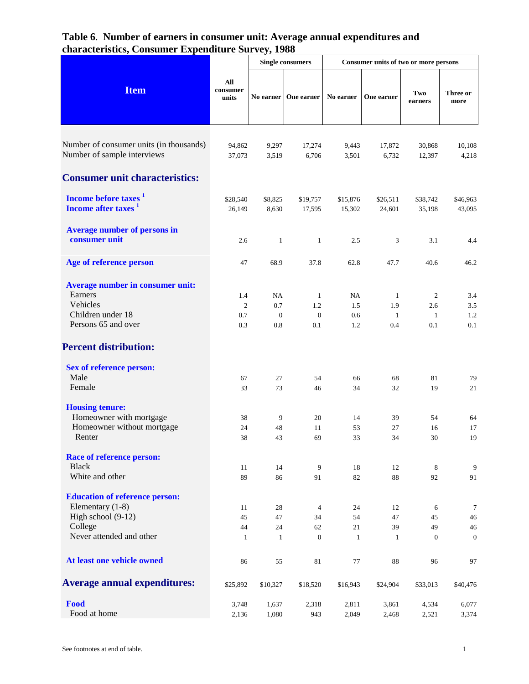|                                                                     |                          | <b>Single consumers</b> |                        | Consumer units of two or more persons |                    |                    |                    |
|---------------------------------------------------------------------|--------------------------|-------------------------|------------------------|---------------------------------------|--------------------|--------------------|--------------------|
| <b>Item</b>                                                         | All<br>consumer<br>units |                         | No earner   One earner | No earner                             | One earner         | Two<br>earners     | Three or<br>more   |
| Number of consumer units (in thousands)                             |                          |                         |                        |                                       |                    |                    |                    |
| Number of sample interviews                                         | 94,862<br>37,073         | 9,297<br>3,519          | 17,274<br>6,706        | 9,443<br>3,501                        | 17,872<br>6,732    | 30,868<br>12,397   | 10,108<br>4,218    |
| <b>Consumer unit characteristics:</b>                               |                          |                         |                        |                                       |                    |                    |                    |
|                                                                     |                          |                         |                        |                                       |                    |                    |                    |
| Income before taxes <sup>1</sup><br>Income after taxes <sup>1</sup> | \$28,540<br>26,149       | \$8,825<br>8,630        | \$19,757<br>17,595     | \$15,876<br>15,302                    | \$26,511<br>24,601 | \$38,742<br>35,198 | \$46,963<br>43,095 |
| <b>Average number of persons in</b>                                 |                          |                         |                        |                                       |                    |                    |                    |
| consumer unit                                                       | 2.6                      | $\mathbf{1}$            | $\mathbf{1}$           | 2.5                                   | 3                  | 3.1                | 4.4                |
| Age of reference person                                             | 47                       | 68.9                    | 37.8                   | 62.8                                  | 47.7               | 40.6               | 46.2               |
| Average number in consumer unit:                                    |                          |                         |                        |                                       |                    |                    |                    |
| Earners                                                             | 1.4                      | NA                      | 1                      | NA                                    | -1                 | 2                  | 3.4                |
| Vehicles                                                            | $\mathfrak{2}$           | 0.7                     | 1.2                    | 1.5                                   | 1.9                | 2.6                | 3.5                |
| Children under 18                                                   | 0.7                      | $\mathbf{0}$            | $\mathbf{0}$           | 0.6                                   | $\overline{1}$     | 1                  | 1.2                |
| Persons 65 and over                                                 | 0.3                      | 0.8                     | 0.1                    | 1.2                                   | 0.4                | 0.1                | 0.1                |
| <b>Percent distribution:</b>                                        |                          |                         |                        |                                       |                    |                    |                    |
| <b>Sex of reference person:</b>                                     |                          |                         |                        |                                       |                    |                    |                    |
| Male                                                                | 67                       | 27                      | 54                     | 66                                    | 68                 | 81                 | 79                 |
| Female                                                              | 33                       | 73                      | 46                     | 34                                    | 32                 | 19                 | 21                 |
| <b>Housing tenure:</b>                                              |                          |                         |                        |                                       |                    |                    |                    |
| Homeowner with mortgage                                             | 38                       | 9                       | 20                     | 14                                    | 39                 | 54                 | 64                 |
| Homeowner without mortgage                                          | 24                       | 48                      | 11                     | 53                                    | 27                 | 16                 | 17                 |
| Renter                                                              | 38                       | 43                      | 69                     | 33                                    | 34                 | 30                 | 19                 |
| <b>Race of reference person:</b>                                    |                          |                         |                        |                                       |                    |                    |                    |
| <b>Black</b>                                                        | 11                       | 14                      | 9                      | 18                                    | 12                 | 8                  | $\boldsymbol{9}$   |
| White and other                                                     | 89                       | 86                      | 91                     | 82                                    | 88                 | 92                 | 91                 |
| <b>Education of reference person:</b>                               |                          |                         |                        |                                       |                    |                    |                    |
| Elementary $(1-8)$                                                  | 11                       | 28                      | $\overline{4}$         | 24                                    | 12                 | 6                  | $\tau$             |
| High school (9-12)                                                  | 45                       | 47                      | 34                     | 54                                    | 47                 | 45                 | 46                 |
| College<br>Never attended and other                                 | 44                       | 24                      | 62                     | 21                                    | 39                 | 49                 | 46                 |
|                                                                     | $\mathbf{1}$             | $\mathbf{1}$            | $\mathbf{0}$           | $\mathbf{1}$                          | $\mathbf{1}$       | $\mathbf{0}$       | $\mathbf{0}$       |
| At least one vehicle owned                                          | 86                       | 55                      | 81                     | 77                                    | 88                 | 96                 | 97                 |
| <b>Average annual expenditures:</b>                                 | \$25,892                 | \$10,327                | \$18,520               | \$16,943                              | \$24,904           | \$33,013           | \$40,476           |
| Food                                                                | 3,748                    | 1,637                   | 2,318                  | 2,811                                 | 3,861              | 4,534              | 6,077              |
| Food at home                                                        | 2,136                    | 1,080                   | 943                    | 2,049                                 | 2,468              | 2,521              | 3,374              |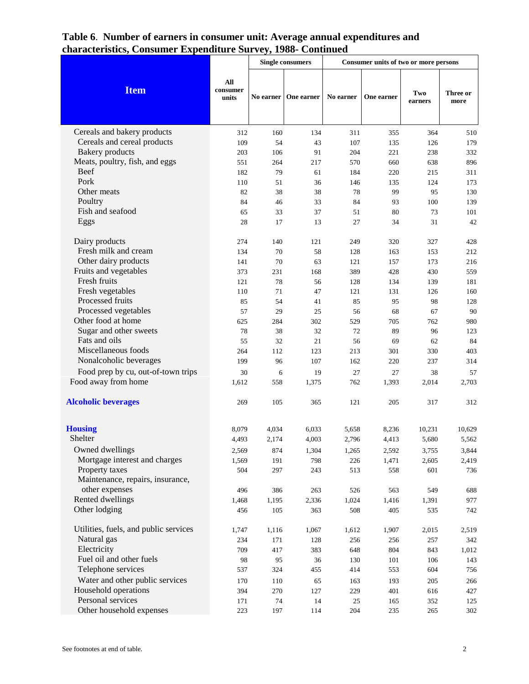|                                         |                          | <b>Single consumers</b> |             | Consumer units of two or more persons |             |                |                  |
|-----------------------------------------|--------------------------|-------------------------|-------------|---------------------------------------|-------------|----------------|------------------|
| <b>Item</b>                             | All<br>consumer<br>units | No earner               | One earner  | No earner                             | One earner  | Two<br>earners | Three or<br>more |
| Cereals and bakery products             | 312                      | 160                     | 134         | 311                                   | 355         | 364            | 510              |
| Cereals and cereal products             | 109                      | 54                      | 43          | 107                                   | 135         | 126            | 179              |
| <b>Bakery</b> products                  | 203                      | 106                     | 91          | 204                                   | 221         | 238            | 332              |
| Meats, poultry, fish, and eggs          | 551                      | 264                     | 217         | 570                                   | 660         | 638            | 896              |
| <b>Beef</b>                             | 182                      | 79                      | 61          | 184                                   | 220         | 215            | 311              |
| Pork                                    | 110                      | 51                      | 36          | 146                                   | 135         | 124            | 173              |
| Other meats                             | 82                       | 38                      | 38          | 78                                    | 99          | 95             | 130              |
| Poultry                                 | 84                       | 46                      | 33          | 84                                    | 93          | 100            | 139              |
| Fish and seafood                        | 65                       | 33                      | 37          | 51                                    | 80          | 73             | 101              |
| Eggs                                    | 28                       | 17                      | 13          | 27                                    | 34          | 31             | 42               |
| Dairy products                          | 274                      | 140                     | 121         | 249                                   | 320         | 327            | 428              |
| Fresh milk and cream                    | 134                      | 70                      | 58          | 128                                   | 163         | 153            | 212              |
| Other dairy products                    | 141                      | 70                      | 63          | 121                                   | 157         | 173            | 216              |
| Fruits and vegetables                   | 373                      | 231                     | 168         | 389                                   | 428         | 430            | 559              |
| Fresh fruits                            | 121                      | 78                      | 56          | 128                                   | 134         | 139            | 181              |
| Fresh vegetables                        | 110                      | 71                      | 47          | 121                                   | 131         | 126            | 160              |
| Processed fruits                        | 85                       | 54                      | 41          | 85                                    | 95          | 98             | 128              |
| Processed vegetables                    | 57                       | 29                      | 25          | 56                                    | 68          | 67             | 90               |
| Other food at home                      | 625                      | 284                     | 302         | 529                                   | 705         | 762            | 980              |
| Sugar and other sweets<br>Fats and oils | 78                       | 38                      | 32          | 72                                    | 89          | 96             | 123              |
| Miscellaneous foods                     | 55                       | 32                      | 21          | 56                                    | 69          | 62             | 84               |
| Nonalcoholic beverages                  | 264<br>199               | 112<br>96               | 123<br>107  | 213<br>162                            | 301<br>220  | 330<br>237     | 403<br>314       |
| Food prep by cu, out-of-town trips      |                          |                         |             |                                       |             |                |                  |
| Food away from home                     | 30<br>1,612              | 6<br>558                | 19<br>1,375 | 27<br>762                             | 27<br>1,393 | 38<br>2,014    | 57<br>2,703      |
|                                         |                          |                         |             |                                       |             |                |                  |
| <b>Alcoholic beverages</b>              | 269                      | 105                     | 365         | 121                                   | 205         | 317            | 312              |
| <b>Housing</b>                          | 8,079                    | 4,034                   | 6,033       | 5,658                                 | 8,236       | 10,231         | 10,629           |
| Shelter                                 | 4,493                    | 2,174                   | 4,003       | 2,796                                 | 4,413       | 5,680          | 5,562            |
| Owned dwellings                         | 2,569                    | 874                     | 1,304       | 1,265                                 | 2,592       | 3,755          | 3,844            |
| Mortgage interest and charges           | 1,569                    | 191                     | 798         | 226                                   | 1,471       | 2,605          | 2,419            |
| Property taxes                          | 504                      | 297                     | 243         | 513                                   | 558         | 601            | 736              |
| Maintenance, repairs, insurance,        |                          |                         |             |                                       |             |                |                  |
| other expenses                          | 496                      | 386                     | 263         | 526                                   | 563         | 549            | 688              |
| Rented dwellings                        | 1,468                    | 1,195                   | 2,336       | 1,024                                 | 1,416       | 1,391          | 977              |
| Other lodging                           | 456                      | 105                     | 363         | 508                                   | 405         | 535            | 742              |
| Utilities, fuels, and public services   | 1,747                    | 1,116                   | 1,067       | 1,612                                 | 1,907       | 2,015          | 2,519            |
| Natural gas                             | 234                      | 171                     | 128         | 256                                   | 256         | 257            | 342              |
| Electricity                             | 709                      | 417                     | 383         | 648                                   | 804         | 843            | 1,012            |
| Fuel oil and other fuels                | 98                       | 95                      | 36          | 130                                   | 101         | 106            | 143              |
| Telephone services                      | 537                      | 324                     | 455         | 414                                   | 553         | 604            | 756              |
| Water and other public services         | 170                      | 110                     | 65          | 163                                   | 193         | 205            | 266              |
| Household operations                    | 394                      | 270                     | 127         | 229                                   | 401         | 616            | 427              |
| Personal services                       | 171                      | 74                      | 14          | 25                                    | 165         | 352            | 125              |
| Other household expenses                | 223                      | 197                     | 114         | 204                                   | 235         | 265            | 302              |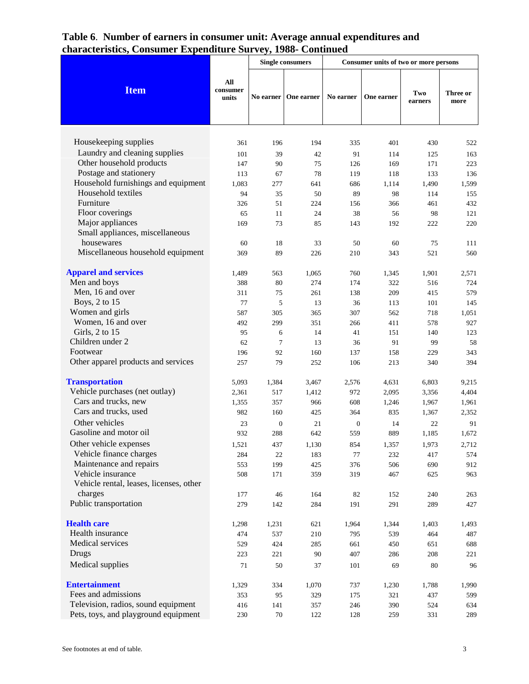|                                         |                          | <b>Single consumers</b> |            | Consumer units of two or more persons |            |                |                  |
|-----------------------------------------|--------------------------|-------------------------|------------|---------------------------------------|------------|----------------|------------------|
| <b>Item</b>                             | All<br>consumer<br>units | No earner               | One earner | No earner                             | One earner | Two<br>earners | Three or<br>more |
|                                         |                          |                         |            |                                       |            |                |                  |
| Housekeeping supplies                   | 361                      | 196                     | 194        | 335                                   | 401        | 430            | 522              |
| Laundry and cleaning supplies           | 101                      | 39                      | 42         | 91                                    | 114        | 125            | 163              |
| Other household products                | 147                      | 90                      | 75         | 126                                   | 169        | 171            | 223              |
| Postage and stationery                  | 113                      | 67                      | 78         | 119                                   | 118        | 133            | 136              |
| Household furnishings and equipment     | 1,083                    | 277                     | 641        | 686                                   | 1,114      | 1,490          | 1,599            |
| Household textiles                      | 94                       | 35                      | 50         | 89                                    | 98         | 114            | 155              |
| Furniture                               | 326                      | 51                      | 224        | 156                                   | 366        | 461            | 432              |
| Floor coverings                         | 65                       | 11                      | 24         | 38                                    | 56         | 98             | 121              |
| Major appliances                        | 169                      | 73                      | 85         | 143                                   | 192        | 222            | 220              |
| Small appliances, miscellaneous         |                          |                         |            |                                       |            |                |                  |
| housewares                              | 60                       | 18                      | 33         | 50                                    | 60         | 75             | 111              |
| Miscellaneous household equipment       | 369                      | 89                      | 226        | 210                                   | 343        | 521            | 560              |
| <b>Apparel and services</b>             | 1,489                    | 563                     | 1,065      | 760                                   | 1,345      | 1,901          | 2,571            |
| Men and boys                            | 388                      | 80                      | 274        | 174                                   | 322        | 516            | 724              |
| Men, 16 and over                        | 311                      | 75                      | 261        | 138                                   | 209        | 415            | 579              |
| Boys, 2 to 15                           | 77                       | 5                       | 13         | 36                                    | 113        | 101            | 145              |
| Women and girls                         | 587                      | 305                     | 365        | 307                                   | 562        | 718            | 1,051            |
| Women, 16 and over                      | 492                      | 299                     | 351        | 266                                   | 411        | 578            | 927              |
| Girls, 2 to 15                          | 95                       | 6                       | 14         | 41                                    | 151        | 140            | 123              |
| Children under 2                        | 62                       | $\tau$                  | 13         | 36                                    | 91         | 99             | 58               |
| Footwear                                | 196                      | 92                      | 160        | 137                                   | 158        | 229            | 343              |
| Other apparel products and services     | 257                      | 79                      | 252        | 106                                   | 213        | 340            | 394              |
| <b>Transportation</b>                   | 5,093                    | 1,384                   | 3,467      | 2,576                                 | 4,631      | 6,803          | 9,215            |
| Vehicle purchases (net outlay)          | 2,361                    | 517                     | 1,412      | 972                                   | 2,095      | 3,356          | 4,404            |
| Cars and trucks, new                    | 1,355                    | 357                     | 966        | 608                                   | 1,246      | 1,967          | 1,961            |
| Cars and trucks, used                   | 982                      | 160                     | 425        | 364                                   | 835        | 1,367          | 2,352            |
| Other vehicles                          | 23                       | $\boldsymbol{0}$        | 21         | $\boldsymbol{0}$                      | 14         | 22             | 91               |
| Gasoline and motor oil                  | 932                      | 288                     | 642        | 559                                   | 889        | 1,185          | 1,672            |
| Other vehicle expenses                  | 1,521                    | 437                     | 1,130      | 854                                   | 1,357      | 1,973          | 2,712            |
| Vehicle finance charges                 | 284                      | 22                      | 183        | 77                                    | 232        | 417            | 574              |
| Maintenance and repairs                 | 553                      | 199                     | 425        | 376                                   | 506        | 690            | 912              |
| Vehicle insurance                       | 508                      | 171                     | 359        | 319                                   | 467        | 625            | 963              |
| Vehicle rental, leases, licenses, other |                          |                         |            |                                       |            |                |                  |
| charges<br>Public transportation        | 177                      | 46                      | 164        | 82                                    | 152        | 240            | 263              |
|                                         | 279                      | 142                     | 284        | 191                                   | 291        | 289            | 427              |
| <b>Health care</b>                      | 1,298                    | 1,231                   | 621        | 1,964                                 | 1,344      | 1,403          | 1,493            |
| Health insurance                        | 474                      | 537                     | 210        | 795                                   | 539        | 464            | 487              |
| Medical services                        | 529                      | 424                     | 285        | 661                                   | 450        | 651            | 688              |
| Drugs                                   | 223                      | 221                     | 90         | 407                                   | 286        | 208            | 221              |
| Medical supplies                        | 71                       | $50\,$                  | 37         | 101                                   | 69         | 80             | 96               |
| <b>Entertainment</b>                    | 1,329                    | 334                     | 1,070      | 737                                   | 1,230      | 1,788          | 1,990            |
| Fees and admissions                     | 353                      | 95                      | 329        | 175                                   | 321        | 437            | 599              |
| Television, radios, sound equipment     | 416                      | 141                     | 357        | 246                                   | 390        | 524            | 634              |
| Pets, toys, and playground equipment    | 230                      | $70\,$                  | 122        | 128                                   | 259        | 331            | 289              |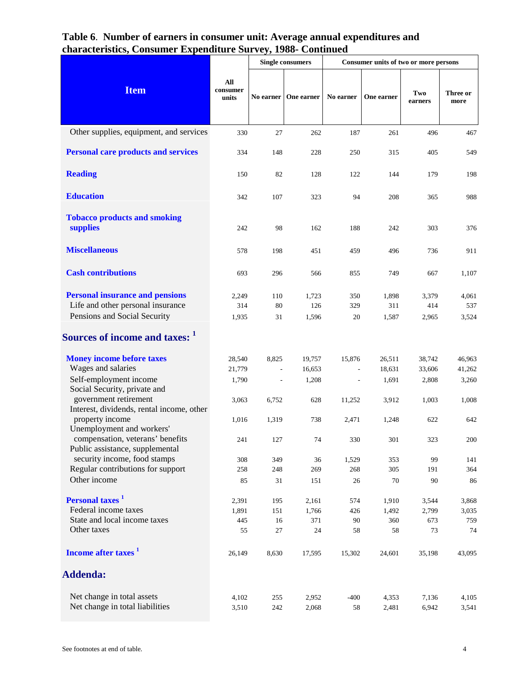|                                                                     | <b>Single consumers</b><br>Consumer units of two or more persons |                          |            |           |            |                |                  |
|---------------------------------------------------------------------|------------------------------------------------------------------|--------------------------|------------|-----------|------------|----------------|------------------|
| <b>Item</b>                                                         | All<br>consumer<br>units                                         | No earner                | One earner | No earner | One earner | Two<br>earners | Three or<br>more |
| Other supplies, equipment, and services                             | 330                                                              | 27                       | 262        | 187       | 261        | 496            | 467              |
| <b>Personal care products and services</b>                          | 334                                                              | 148                      | 228        | 250       | 315        | 405            | 549              |
| <b>Reading</b>                                                      | 150                                                              | 82                       | 128        | 122       | 144        | 179            | 198              |
| <b>Education</b>                                                    | 342                                                              | 107                      | 323        | 94        | 208        | 365            | 988              |
| <b>Tobacco products and smoking</b><br>supplies                     | 242                                                              | 98                       | 162        | 188       | 242        | 303            | 376              |
| <b>Miscellaneous</b>                                                | 578                                                              | 198                      | 451        | 459       | 496        | 736            | 911              |
| <b>Cash contributions</b>                                           | 693                                                              | 296                      | 566        | 855       | 749        | 667            | 1,107            |
| <b>Personal insurance and pensions</b>                              | 2,249                                                            | 110                      | 1,723      | 350       | 1,898      | 3,379          | 4,061            |
| Life and other personal insurance                                   | 314                                                              | 80                       | 126        | 329       | 311        | 414            | 537              |
| Pensions and Social Security                                        | 1,935                                                            | 31                       | 1,596      | 20        | 1,587      | 2,965          | 3,524            |
| Sources of income and taxes: 1                                      |                                                                  |                          |            |           |            |                |                  |
| <b>Money income before taxes</b>                                    | 28,540                                                           | 8,825                    | 19,757     | 15,876    | 26,511     | 38,742         | 46,963           |
| Wages and salaries                                                  | 21,779                                                           |                          | 16,653     |           | 18,631     | 33,606         | 41,262           |
| Self-employment income<br>Social Security, private and              | 1,790                                                            | $\overline{\phantom{a}}$ | 1,208      |           | 1,691      | 2,808          | 3,260            |
| government retirement<br>Interest, dividends, rental income, other  | 3,063                                                            | 6,752                    | 628        | 11,252    | 3.912      | 1,003          | 1,008            |
| property income<br>Unemployment and workers'                        | 1,016                                                            | 1,319                    | 738        | 2,471     | 1,248      | 622            | 642              |
| compensation, veterans' benefits<br>Public assistance, supplemental | 241                                                              | 127                      | 74         | 330       | 301        | 323            | 200              |
| security income, food stamps                                        | 308                                                              | 349                      | 36         | 1,529     | 353        | 99             | 141              |
| Regular contributions for support                                   | 258                                                              | 248                      | 269        | 268       | 305        | 191            | 364              |
| Other income                                                        | 85                                                               | 31                       | 151        | $26\,$    | 70         | 90             | 86               |
| <b>Personal taxes</b> <sup>1</sup>                                  | 2,391                                                            | 195                      | 2,161      | 574       | 1,910      | 3,544          | 3,868            |
| Federal income taxes                                                | 1,891                                                            | 151                      | 1,766      | 426       | 1,492      | 2,799          | 3,035            |
| State and local income taxes                                        | 445                                                              | 16                       | 371        | 90        | 360        | 673            | 759              |
| Other taxes                                                         | 55                                                               | 27                       | 24         | 58        | 58         | 73             | 74               |
| Income after taxes <sup>1</sup>                                     | 26,149                                                           | 8,630                    | 17,595     | 15,302    | 24,601     | 35,198         | 43,095           |
| <b>Addenda:</b>                                                     |                                                                  |                          |            |           |            |                |                  |
| Net change in total assets                                          | 4,102                                                            | 255                      | 2,952      | $-400$    | 4,353      | 7,136          | 4,105            |
| Net change in total liabilities                                     | 3,510                                                            | 242                      | 2,068      | 58        | 2,481      | 6,942          | 3,541            |